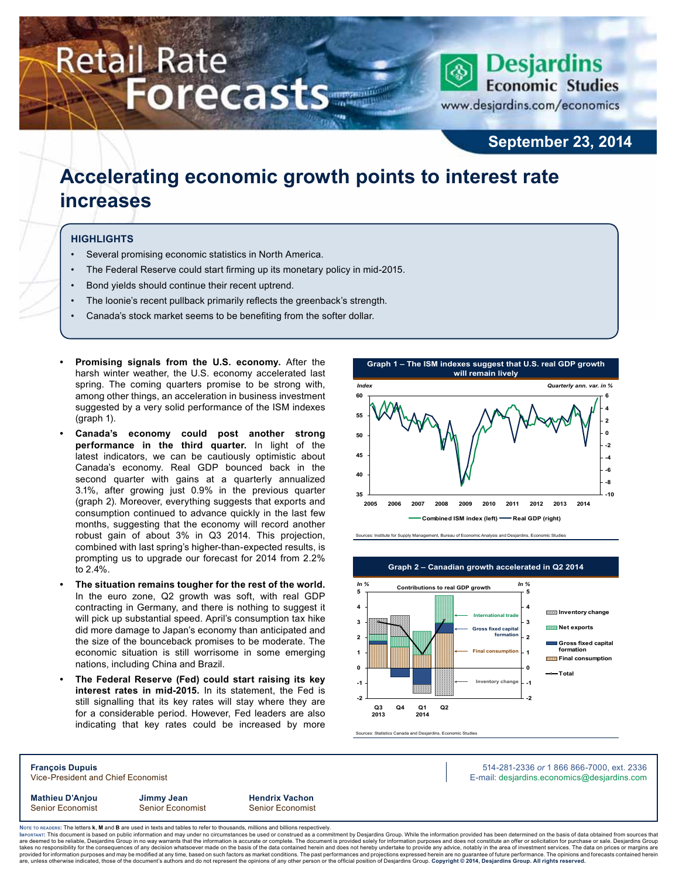# **Retail Rate Forecasts**



**September 23, 2014**

## **Accelerating economic growth points to interest rate increases**

#### **Highlights**

- Several promising economic statistics in North America.
- The Federal Reserve could start firming up its monetary policy in mid-2015.
- Bond yields should continue their recent uptrend.
- The loonie's recent pullback primarily reflects the greenback's strength.
- Canada's stock market seems to be benefiting from the softer dollar.
- **Promising signals from the U.S. economy.** After the harsh winter weather, the U.S. economy accelerated last spring. The coming quarters promise to be strong with, among other things, an acceleration in business investment suggested by a very solid performance of the ISM indexes (graph 1).
- **Canada's economy could post another strong performance in the third quarter.** In light of the latest indicators, we can be cautiously optimistic about Canada's economy. Real GDP bounced back in the second quarter with gains at a quarterly annualized 3.1%, after growing just 0.9% in the previous quarter (graph 2). Moreover, everything suggests that exports and consumption continued to advance quickly in the last few months, suggesting that the economy will record another robust gain of about 3% in Q3 2014. This projection, combined with last spring's higher-than-expected results, is prompting us to upgrade our forecast for 2014 from 2.2% to 2.4%.
- The situation remains tougher for the rest of the world. In the euro zone, Q2 growth was soft, with real GDP contracting in Germany, and there is nothing to suggest it will pick up substantial speed. April's consumption tax hike did more damage to Japan's economy than anticipated and the size of the bounceback promises to be moderate. The economic situation is still worrisome in some emerging nations, including China and Brazil.
- **The Federal Reserve (Fed) could start raising its key interest rates in mid-2015.** In its statement, the Fed is still signalling that its key rates will stay where they are for a considerable period. However, Fed leaders are also indicating that key rates could be increased by more







Sources: Statistics Canada and Desjardins, Economic Studies

**Mathieu D'Anjou Jimmy Jean Hendrix Vachon** Senior Economist Senior Economist Senior Economist

**François Dupuis** 514-281-2336 *or* 1 866 866-7000, ext. 2336 Vice-President and Chief Economist **E-mail: designediate and Chief Economist** E-mail: designediate economics@desjardins.com

Noте то келоекs: The letters **k, M** and **B** are used in texts and tables to refer to thousands, millions and billions respectively.<br>Імроктлит: This document is based on public information and may under no circumstances be are deemed to be reliable, Desjardins Group in no way warrants that the information is accurate or complete. The document is provided solely for information purposes and does not constitute an offer or solicitation for pur takes no responsibility for the consequences of any decision whatsoever made on the basis of the data contained herein and does not hereby undertake to provide any advice, notably in the area of investment services. The da

**Graph 2 – Canadian growth accelerated in Q2 2014**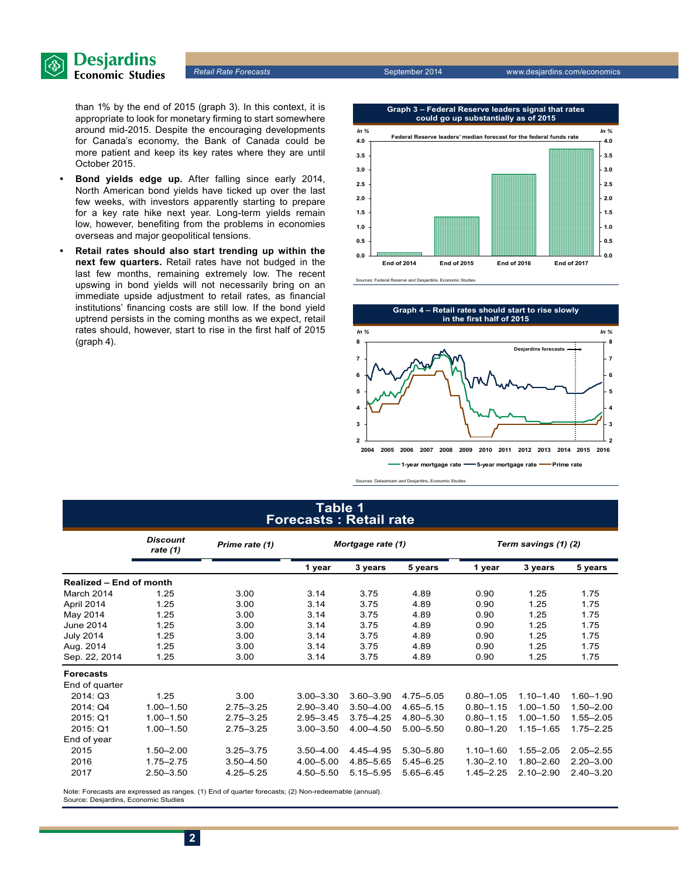

than 1% by the end of 2015 (graph 3). In this context, it is appropriate to look for monetary firming to start somewhere around mid-2015. Despite the encouraging developments for Canada's economy, the Bank of Canada could be more patient and keep its key rates where they are until October 2015.

- **Bond yields edge up.** After falling since early 2014, North American bond yields have ticked up over the last few weeks, with investors apparently starting to prepare for a key rate hike next year. Long-term yields remain low, however, benefiting from the problems in economies overseas and major geopolitical tensions.
- **Retail rates should also start trending up within the next few quarters.** Retail rates have not budged in the last few months, remaining extremely low. The recent upswing in bond yields will not necessarily bring on an immediate upside adjustment to retail rates, as financial institutions' financing costs are still low. If the bond yield uptrend persists in the coming months as we expect, retail rates should, however, start to rise in the first half of 2015 (graph 4).



Sources: Federal Reserve and Desjardins, Economic Studies



Sources: Datastream and Desjardins, Economic Studies

### **Table 1 Forecasts : Retail rate**

|                         | <b>Discount</b><br>rate $(1)$ | Prime rate (1) | Mortgage rate (1) |               | Term savings (1) (2) |               |               |               |
|-------------------------|-------------------------------|----------------|-------------------|---------------|----------------------|---------------|---------------|---------------|
|                         |                               |                | 1 year            | 3 years       | 5 years              | 1 year        | 3 years       | 5 years       |
| Realized - End of month |                               |                |                   |               |                      |               |               |               |
| March 2014              | 1.25                          | 3.00           | 3.14              | 3.75          | 4.89                 | 0.90          | 1.25          | 1.75          |
| April 2014              | 1.25                          | 3.00           | 3.14              | 3.75          | 4.89                 | 0.90          | 1.25          | 1.75          |
| May 2014                | 1.25                          | 3.00           | 3.14              | 3.75          | 4.89                 | 0.90          | 1.25          | 1.75          |
| <b>June 2014</b>        | 1.25                          | 3.00           | 3.14              | 3.75          | 4.89                 | 0.90          | 1.25          | 1.75          |
| <b>July 2014</b>        | 1.25                          | 3.00           | 3.14              | 3.75          | 4.89                 | 0.90          | 1.25          | 1.75          |
| Aug. 2014               | 1.25                          | 3.00           | 3.14              | 3.75          | 4.89                 | 0.90          | 1.25          | 1.75          |
| Sep. 22, 2014           | 1.25                          | 3.00           | 3.14              | 3.75          | 4.89                 | 0.90          | 1.25          | 1.75          |
| <b>Forecasts</b>        |                               |                |                   |               |                      |               |               |               |
| End of quarter          |                               |                |                   |               |                      |               |               |               |
| 2014: Q3                | 1.25                          | 3.00           | $3.00 - 3.30$     | $3.60 - 3.90$ | 4.75-5.05            | $0.80 - 1.05$ | $1.10 - 1.40$ | 1.60-1.90     |
| 2014: Q4                | $1.00 - 1.50$                 | $2.75 - 3.25$  | $2.90 - 3.40$     | $3.50 - 4.00$ | $4.65 - 5.15$        | $0.80 - 1.15$ | $1.00 - 1.50$ | $1.50 - 2.00$ |
| 2015: Q1                | $1.00 - 1.50$                 | $2.75 - 3.25$  | $2.95 - 3.45$     | $3.75 - 4.25$ | 4.80-5.30            | $0.80 - 1.15$ | $1.00 - 1.50$ | 1.55-2.05     |
| 2015: Q1                | $1.00 - 1.50$                 | $2.75 - 3.25$  | $3.00 - 3.50$     | $4.00 - 4.50$ | $5.00 - 5.50$        | $0.80 - 1.20$ | $1.15 - 1.65$ | $1.75 - 2.25$ |
| End of year             |                               |                |                   |               |                      |               |               |               |
| 2015                    | $1.50 - 2.00$                 | $3.25 - 3.75$  | $3.50 - 4.00$     | 4.45-4.95     | 5.30-5.80            | $1.10 - 1.60$ | $1.55 - 2.05$ | $2.05 - 2.55$ |
| 2016                    | $1.75 - 2.75$                 | $3.50 - 4.50$  | $4.00 - 5.00$     | 4.85-5.65     | $5.45 - 6.25$        | $1.30 - 2.10$ | $1.80 - 2.60$ | $2.20 - 3.00$ |
| 2017                    | $2.50 - 3.50$                 | $4.25 - 5.25$  | 4.50-5.50         | 5.15-5.95     | $5.65 - 6.45$        | $1.45 - 2.25$ | $2.10 - 2.90$ | $2.40 - 3.20$ |

Note: Forecasts are expressed as ranges. (1) End of quarter forecasts; (2) Non-redeemable (annual). Source: Desjardins, Economic Studies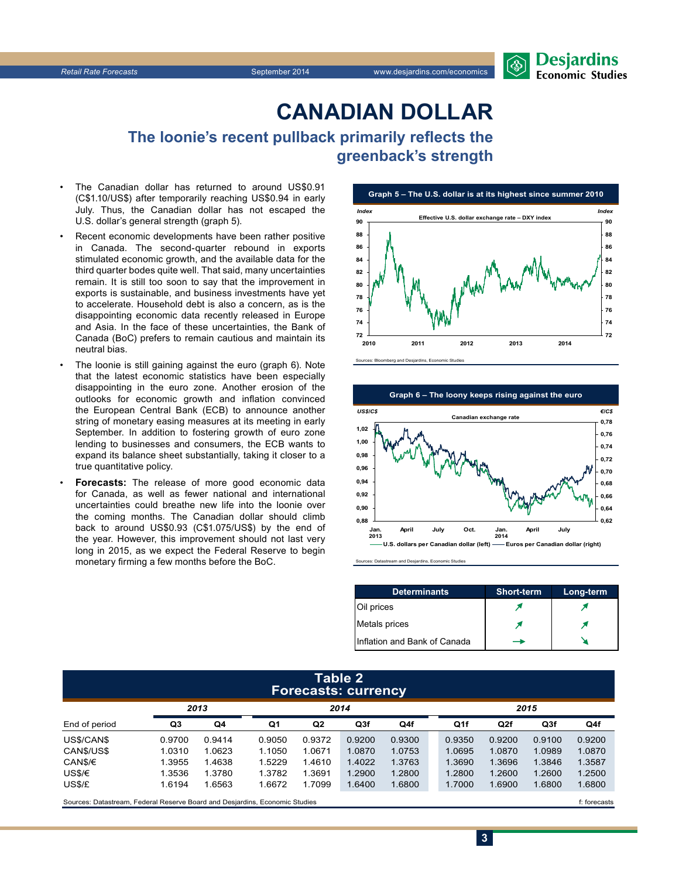## **CanadiAn Dollar**

**The loonie's recent pullback primarily reflects the greenback's strength** 

- The Canadian dollar has returned to around US\$0.91 (C\$1.10/US\$) after temporarily reaching US\$0.94 in early July. Thus, the Canadian dollar has not escaped the U.S. dollar's general strength (graph 5).
- Recent economic developments have been rather positive in Canada. The second-quarter rebound in exports stimulated economic growth, and the available data for the third quarter bodes quite well. That said, many uncertainties remain. It is still too soon to say that the improvement in exports is sustainable, and business investments have yet to accelerate. Household debt is also a concern, as is the disappointing economic data recently released in Europe and Asia. In the face of these uncertainties, the Bank of Canada (BoC) prefers to remain cautious and maintain its neutral bias.
- The loonie is still gaining against the euro (graph 6). Note that the latest economic statistics have been especially disappointing in the euro zone. Another erosion of the outlooks for economic growth and inflation convinced the European Central Bank (ECB) to announce another string of monetary easing measures at its meeting in early September. In addition to fostering growth of euro zone lending to businesses and consumers, the ECB wants to expand its balance sheet substantially, taking it closer to a true quantitative policy.
- **Forecasts:** The release of more good economic data for Canada, as well as fewer national and international uncertainties could breathe new life into the loonie over the coming months. The Canadian dollar should climb back to around US\$0.93 (C\$1.075/US\$) by the end of the year. However, this improvement should not last very long in 2015, as we expect the Federal Reserve to begin monetary firming a few months before the BoC.







Sources: Datastream and Desjardins, Economic Studies

| <b>Determinants</b>          | <b>Short-term</b> | Long-term |
|------------------------------|-------------------|-----------|
| Oil prices                   |                   |           |
| Metals prices                |                   |           |
| Inflation and Bank of Canada |                   |           |

#### **Table 2 Forecasts: currency**

|                                                                             | . .    |        |        |                |        |        |  |        |                 |        |        |
|-----------------------------------------------------------------------------|--------|--------|--------|----------------|--------|--------|--|--------|-----------------|--------|--------|
|                                                                             | 2013   |        | 2014   |                |        |        |  | 2015   |                 |        |        |
| End of period                                                               | Q3     | Q4     | Q1     | Q <sub>2</sub> | Q3f    | Q4f    |  | Q1f    | Q <sub>2f</sub> | Q3f    | Q4f    |
| US\$/CAN\$                                                                  | 0.9700 | 0.9414 | 0.9050 | 0.9372         | 0.9200 | 0.9300 |  | 0.9350 | 0.9200          | 0.9100 | 0.9200 |
| CAN\$/US\$                                                                  | 1.0310 | 1.0623 | 1.1050 | 1.0671         | 1.0870 | 1.0753 |  | 1.0695 | 1.0870          | 1.0989 | 1.0870 |
| CAN\$/€                                                                     | 1.3955 | 1.4638 | 1.5229 | 1.4610         | 1.4022 | 1.3763 |  | 1.3690 | 1.3696          | 1.3846 | 1.3587 |
| US\$/€                                                                      | 1.3536 | 1.3780 | 1.3782 | 1.3691         | 1.2900 | 1.2800 |  | 1.2800 | 1.2600          | 1.2600 | 1.2500 |
| US\$/£                                                                      | 1.6194 | 1.6563 | 1.6672 | 1.7099         | 1.6400 | 1.6800 |  | 1.7000 | 1.6900          | 1.6800 | 1.6800 |
| Sources: Datastream. Federal Reserve Board and Desiardins. Economic Studies |        |        |        |                |        |        |  |        | f: forecasts    |        |        |

**3**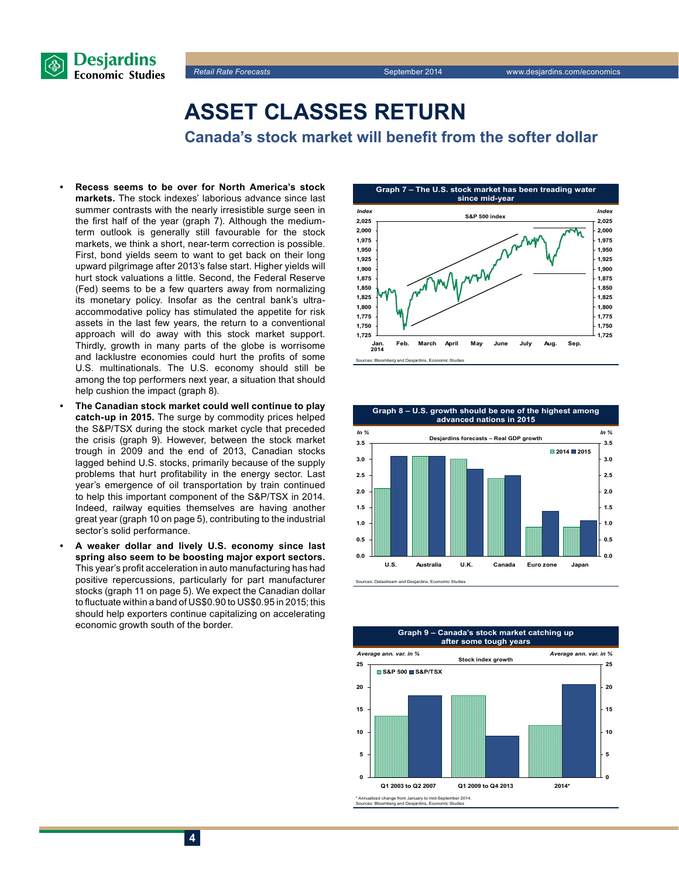

## **Asset classes return**

**Canada's stock market will benefit from the softer dollar**

- **Recess seems to be over for North America's stock markets.** The stock indexes' laborious advance since last summer contrasts with the nearly irresistible surge seen in the first half of the year (graph 7). Although the mediumterm outlook is generally still favourable for the stock markets, we think a short, near-term correction is possible. First, bond yields seem to want to get back on their long upward pilgrimage after 2013's false start. Higher yields will hurt stock valuations a little. Second, the Federal Reserve (Fed) seems to be a few quarters away from normalizing its monetary policy. Insofar as the central bank's ultraaccommodative policy has stimulated the appetite for risk assets in the last few years, the return to a conventional approach will do away with this stock market support. Thirdly, growth in many parts of the globe is worrisome and lacklustre economies could hurt the profits of some U.S. multinationals. The U.S. economy should still be among the top performers next year, a situation that should help cushion the impact (graph 8).
- **The Canadian stock market could well continue to play catch-up in 2015.** The surge by commodity prices helped the S&P/TSX during the stock market cycle that preceded the crisis (graph 9). However, between the stock market trough in 2009 and the end of 2013, Canadian stocks lagged behind U.S. stocks, primarily because of the supply problems that hurt profitability in the energy sector. Last year's emergence of oil transportation by train continued to help this important component of the S&P/TSX in 2014. Indeed, railway equities themselves are having another great year (graph 10 on page 5), contributing to the industrial sector's solid performance.
- **• A weaker dollar and lively U.S. economy since last spring also seem to be boosting major export sectors.**  This year's profit acceleration in auto manufacturing has had positive repercussions, particularly for part manufacturer stocks (graph 11 on page 5). We expect the Canadian dollar to fluctuate within a band of US\$0.90 to US\$0.95 in 2015; this should help exporters continue capitalizing on accelerating economic growth south of the border.